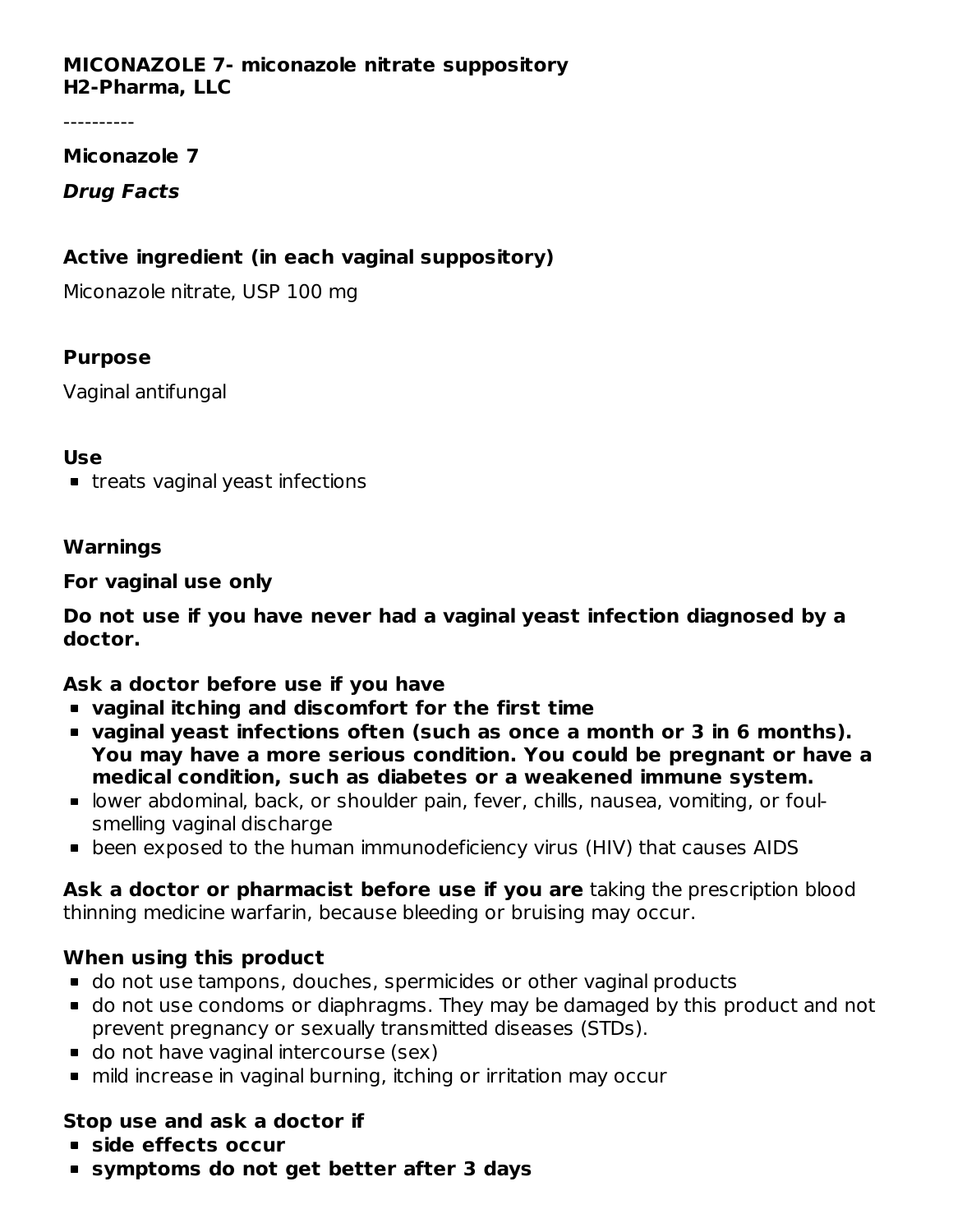#### **MICONAZOLE 7- miconazole nitrate suppository H2-Pharma, LLC**

----------

#### **Miconazole 7**

# **Drug Facts**

# **Active ingredient (in each vaginal suppository)**

Miconazole nitrate, USP 100 mg

# **Purpose**

Vaginal antifungal

#### **Use**

**treats vaginal yeast infections** 

#### **Warnings**

#### **For vaginal use only**

**Do not use if you have never had a vaginal yeast infection diagnosed by a doctor.**

# **Ask a doctor before use if you have**

- **vaginal itching and discomfort for the first time**
- **vaginal yeast infections often (such as once a month or 3 in 6 months). You may have a more serious condition. You could be pregnant or have a medical condition, such as diabetes or a weakened immune system.**
- lower abdominal, back, or shoulder pain, fever, chills, nausea, vomiting, or foulsmelling vaginal discharge
- been exposed to the human immunodeficiency virus (HIV) that causes AIDS

**Ask a doctor or pharmacist before use if you are** taking the prescription blood thinning medicine warfarin, because bleeding or bruising may occur.

# **When using this product**

- do not use tampons, douches, spermicides or other vaginal products
- do not use condoms or diaphragms. They may be damaged by this product and not prevent pregnancy or sexually transmitted diseases (STDs).
- **do not have vaginal intercourse (sex)**
- mild increase in vaginal burning, itching or irritation may occur

# **Stop use and ask a doctor if**

- **side effects occur**
- **symptoms do not get better after 3 days**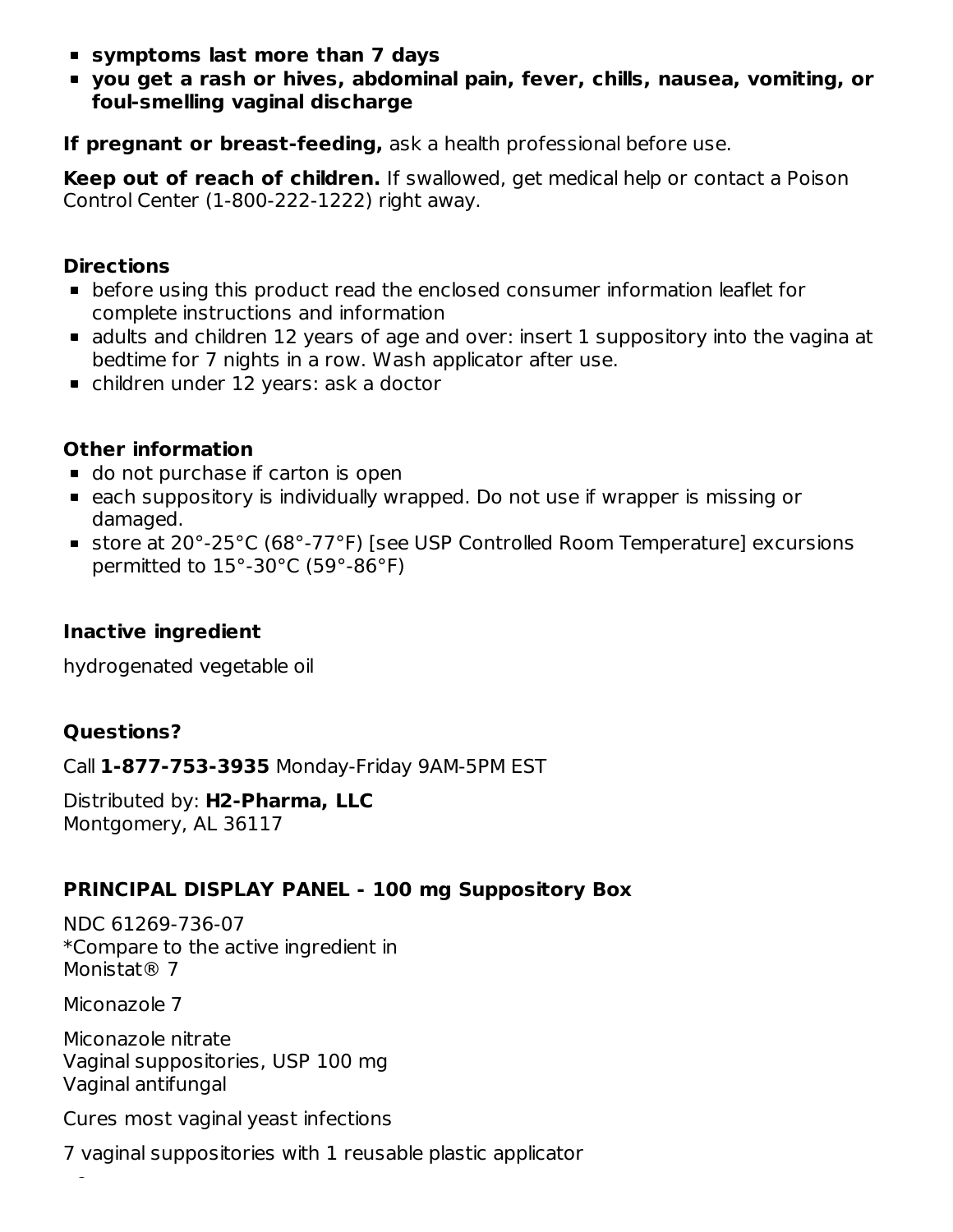- **symptoms last more than 7 days**
- **you get a rash or hives, abdominal pain, fever, chills, nausea, vomiting, or foul-smelling vaginal discharge**

**If pregnant or breast-feeding,** ask a health professional before use.

**Keep out of reach of children.** If swallowed, get medical help or contact a Poison Control Center (1-800-222-1222) right away.

#### **Directions**

- before using this product read the enclosed consumer information leaflet for complete instructions and information
- adults and children 12 years of age and over: insert 1 suppository into the vagina at bedtime for 7 nights in a row. Wash applicator after use.
- children under 12 years: ask a doctor

# **Other information**

- **do not purchase if carton is open**
- each suppository is individually wrapped. Do not use if wrapper is missing or damaged.
- store at 20°-25°C (68°-77°F) [see USP Controlled Room Temperature] excursions permitted to 15°-30°C (59°-86°F)

# **Inactive ingredient**

hydrogenated vegetable oil

# **Questions?**

Call **1-877-753-3935** Monday-Friday 9AM-5PM EST

Distributed by: **H2-Pharma, LLC** Montgomery, AL 36117

# **PRINCIPAL DISPLAY PANEL - 100 mg Suppository Box**

NDC 61269-736-07 \*Compare to the active ingredient in Monistat<sup>®</sup> 7

Miconazole 7

Miconazole nitrate Vaginal suppositories, USP 100 mg Vaginal antifungal

Cures most vaginal yeast infections

7 vaginal suppositories with 1 reusable plastic applicator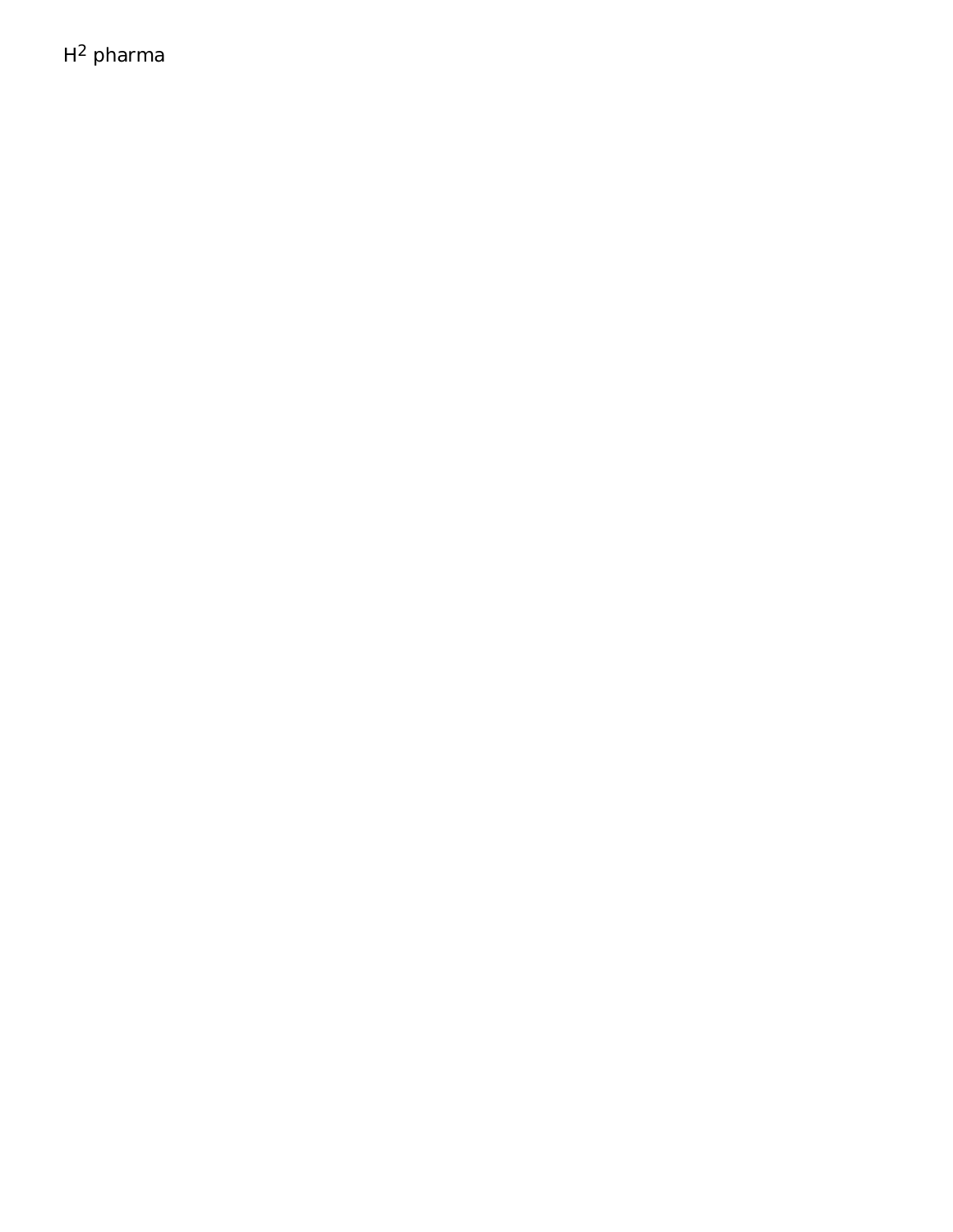$H^2$  pharma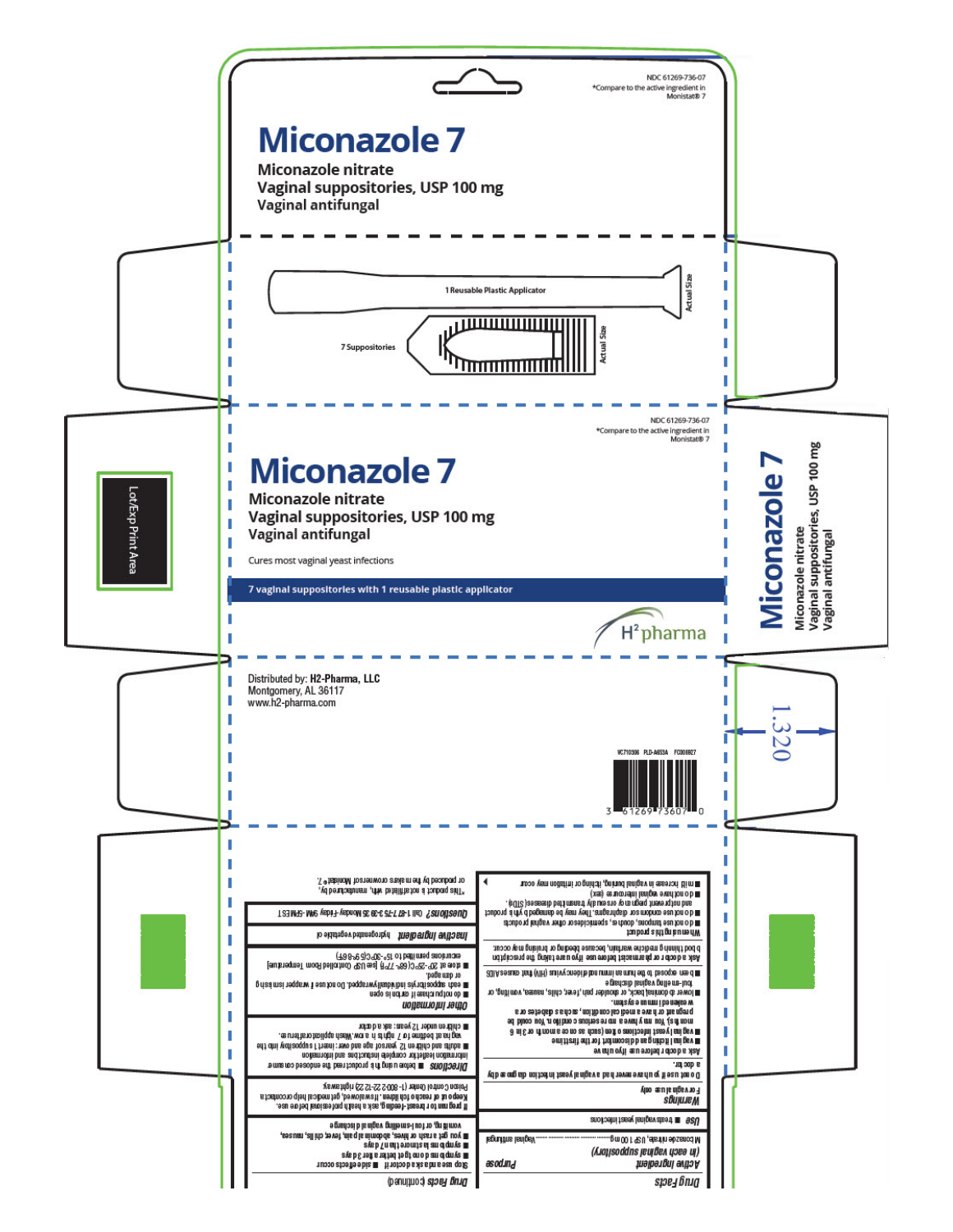